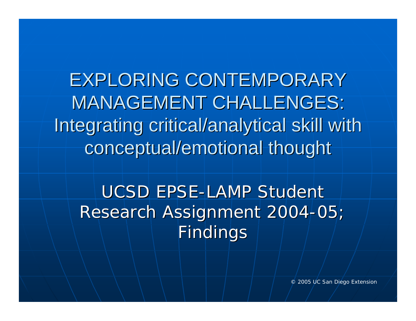EXPLORING CONTEMPORARY **MANAGEMENT CHALLENGES:** Integrating critical/analytical skill with conceptual/emotional thought

UCSD EPSE-LAMP Student Research Assignment 2004-05; Findings

© 2005 UC San Diego Extension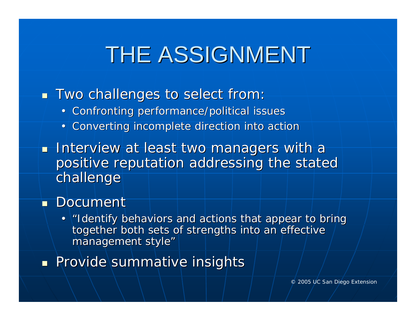# THE ASSIGNMENT

- $\blacksquare$  Two challenges to select from:
	- •Confronting performance/political issues
	- •Converting incomplete direction into action
- $\blacksquare$  Interview at least two managers with a positive reputation addressing the stated challenge

#### ■ Document

•I lentify behaviors and actions that appear to bring together both sets of strengths into an effective management style"

**Provide summative insights**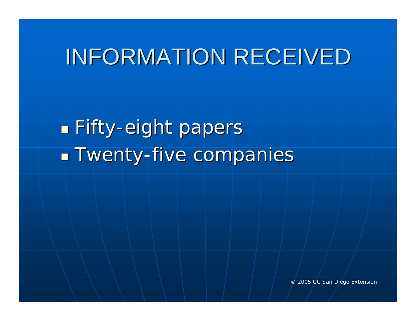#### INFORMATION RECEIVED

Г **Eifty-eight papers**  $\mathbb{R}^2$ **- Twenty-five companies**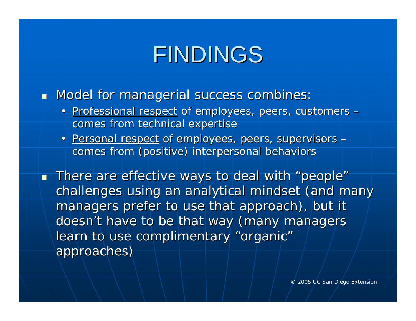## FINDINGS

 $\blacksquare$  Model for managerial success combines:

- Professional respect of employees, peers, customers comes from technical expertise
- Personal respect of employees, peers, supervisors comes from (positive) interpersonal behaviors comes from (positive) interpersonal behaviors

 $\blacksquare$  There are effective ways to deal with "people" challenges using an analytical mindset (and many managers prefer to use that approach), but it doesn't have to be that way (many managers learn to use complimentary "organic" approaches) approaches)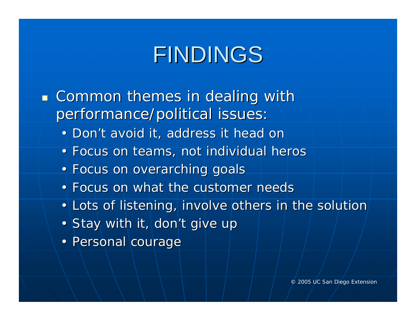# FINDINGS

- $\mathbb{R}^2$  $\blacksquare$  Common themes in dealing with performance/political issues:
	- Don't avoid it, address it head on
	- Focus on teams, not individual heros
	- Focus on overarching goals
	- Focus on what the customer needs
	- Lots of listening, involve others in the solution
	- Stay with it, don't give up
	- Personal courage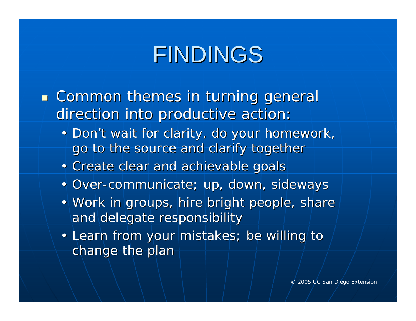# FINDINGS

- $\mathbb{R}^2$ **Exammon themes in turning general** direction into productive action:
	- Don't wait for clarity, do your homework, go to the source and clarify together
	- Create clear and achievable goals
	- Over-communicate; up, down, sideways
	- Work in groups, hire bright people, share and delegate responsibility
	- Learn from your mistakes; be willing to change the plan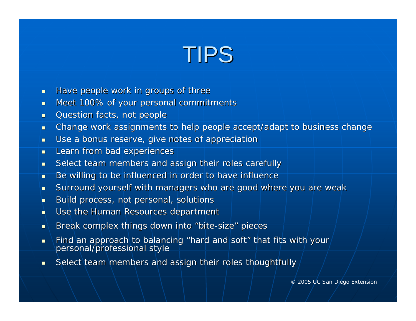#### TIPS

- $\blacksquare$ Have people work in groups of three
- $\blacksquare$ Meet 100% of your personal commitments
- п Question facts, not people
- п Change work assignments to help people accept/adapt to business change
- п Use a bonus reserve, give notes of appreciation
- $\blacksquare$ Learn from bad experiences
- $\blacksquare$ Select team members and assign their roles carefully
- $\blacksquare$ Be willing to be influenced in order to have influence
- $\blacksquare$ Surround yourself with managers who are good where you are weak
- п Build process, not personal, solutions
- п Use the Human Resources department
- п Break complex things down into "bite-size" pieces
- $\blacksquare$ Find an approach to balancing "hard and soft" that fits with your personal/professional style
- $\blacksquare$ Select team members and assign their roles thoughtfully